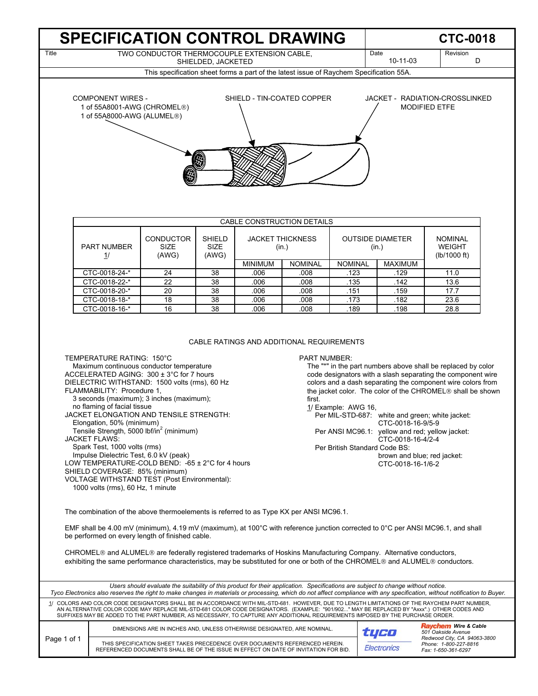